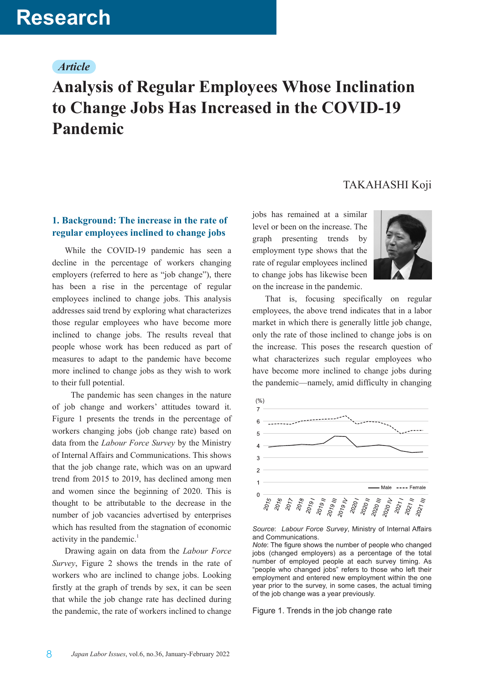# *Article*

# **Analysis of Regular Employees Whose Inclination to Change Jobs Has Increased in the COVID-19 Pandemic**

# TAKAHASHI Koji

# **1. Background: The increase in the rate of regular employees inclined to change jobs**

While the COVID-19 pandemic has seen a decline in the percentage of workers changing employers (referred to here as "job change"), there has been a rise in the percentage of regular employees inclined to change jobs. This analysis addresses said trend by exploring what characterizes those regular employees who have become more inclined to change jobs. The results reveal that people whose work has been reduced as part of measures to adapt to the pandemic have become more inclined to change jobs as they wish to work to their full potential.

 The pandemic has seen changes in the nature of job change and workers' attitudes toward it. Figure 1 presents the trends in the percentage of workers changing jobs (job change rate) based on data from the *Labour Force Survey* by the Ministry of Internal Affairs and Communications. This shows that the job change rate, which was on an upward trend from 2015 to 2019, has declined among men and women since the beginning of 2020. This is thought to be attributable to the decrease in the number of job vacancies advertised by enterprises which has resulted from the stagnation of economic activity in the pandemic. $<sup>1</sup>$ </sup>

Drawing again on data from the *Labour Force Survey*, Figure 2 shows the trends in the rate of workers who are inclined to change jobs. Looking firstly at the graph of trends by sex, it can be seen that while the job change rate has declined during the pandemic, the rate of workers inclined to change

jobs has remained at a similar level or been on the increase. The graph presenting trends by employment type shows that the rate of regular employees inclined to change jobs has likewise been on the increase in the pandemic.



That is, focusing specifically on regular employees, the above trend indicates that in a labor market in which there is generally little job change, only the rate of those inclined to change jobs is on the increase. This poses the research question of what characterizes such regular employees who have become more inclined to change jobs during the pandemic—namely, amid difficulty in changing



*Source*: *Labour Force Survey*, Ministry of Internal Affairs and Communications.

Figure 1. Trends in the job change rate

*Note*: The figure shows the number of people who changed jobs (changed employers) as a percentage of the total number of employed people at each survey timing. As "people who changed jobs" refers to those who left their employment and entered new employment within the one year prior to the survey, in some cases, the actual timing of the job change was a year previously.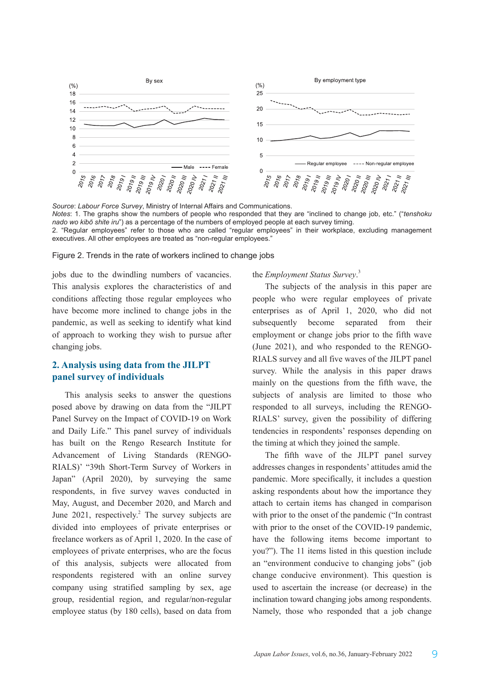

*Source*: *Labour Force Survey*, Ministry of Internal Affairs and Communications. *Notes*: 1. The graphs show the numbers of people who responded that they are "inclined to change job, etc." ("*tenshoku nado wo kibō shite iru*") as a percentage of the numbers of employed people at each survey timing. 2. "Regular employees" refer to those who are called "regular employees" in their workplace, excluding management executives. All other employees are treated as "non-regular employees."

#### Figure 2. Trends in the rate of workers inclined to change jobs

jobs due to the dwindling numbers of vacancies. This analysis explores the characteristics of and conditions affecting those regular employees who have become more inclined to change jobs in the pandemic, as well as seeking to identify what kind of approach to working they wish to pursue after changing jobs.

## **2. Analysis using data from the JILPT panel survey of individuals**

This analysis seeks to answer the questions posed above by drawing on data from the "JILPT Panel Survey on the Impact of COVID-19 on Work and Daily Life." This panel survey of individuals has built on the Rengo Research Institute for Advancement of Living Standards (RENGO-RIALS)' "39th Short-Term Survey of Workers in Japan" (April 2020), by surveying the same respondents, in five survey waves conducted in May, August, and December 2020, and March and June  $2021$ , respectively.<sup>2</sup> The survey subjects are divided into employees of private enterprises or freelance workers as of April 1, 2020. In the case of employees of private enterprises, who are the focus of this analysis, subjects were allocated from respondents registered with an online survey company using stratified sampling by sex, age group, residential region, and regular/non-regular employee status (by 180 cells), based on data from

#### the *Employment Status Survey*. 3

The subjects of the analysis in this paper are people who were regular employees of private enterprises as of April 1, 2020, who did not subsequently become separated from their employment or change jobs prior to the fifth wave (June 2021), and who responded to the RENGO-RIALS survey and all five waves of the JILPT panel survey. While the analysis in this paper draws mainly on the questions from the fifth wave, the subjects of analysis are limited to those who responded to all surveys, including the RENGO-RIALS' survey, given the possibility of differing tendencies in respondents' responses depending on the timing at which they joined the sample.

The fifth wave of the JILPT panel survey addresses changes in respondents' attitudes amid the pandemic. More specifically, it includes a question asking respondents about how the importance they attach to certain items has changed in comparison with prior to the onset of the pandemic ("In contrast with prior to the onset of the COVID-19 pandemic, have the following items become important to you?"). The 11 items listed in this question include an "environment conducive to changing jobs" (job change conducive environment). This question is used to ascertain the increase (or decrease) in the inclination toward changing jobs among respondents. Namely, those who responded that a job change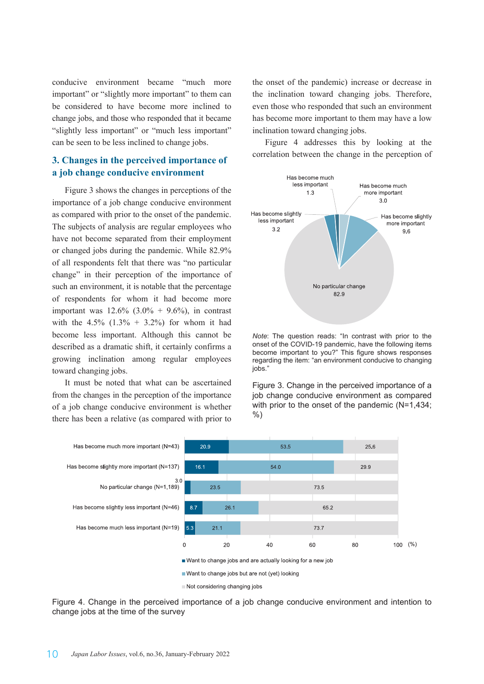conducive environment became "much more important" or "slightly more important" to them can be considered to have become more inclined to change jobs, and those who responded that it became "slightly less important" or "much less important" can be seen to be less inclined to change jobs.

## **3. Changes in the perceived importance of a job change conducive environment**

Figure 3 shows the changes in perceptions of the importance of a job change conducive environment as compared with prior to the onset of the pandemic. The subjects of analysis are regular employees who have not become separated from their employment or changed jobs during the pandemic. While 82.9% of all respondents felt that there was "no particular change" in their perception of the importance of such an environment, it is notable that the percentage of respondents for whom it had become more important was  $12.6\%$   $(3.0\% + 9.6\%)$ , in contrast with the  $4.5\%$  (1.3% + 3.2%) for whom it had become less important. Although this cannot be described as a dramatic shift, it certainly confirms a growing inclination among regular employees toward changing jobs.

It must be noted that what can be ascertained from the changes in the perception of the importance of a job change conducive environment is whether there has been a relative (as compared with prior to

the onset of the pandemic) increase or decrease in the inclination toward changing jobs. Therefore, even those who responded that such an environment has become more important to them may have a low inclination toward changing jobs.

Figure 4 addresses this by looking at the correlation between the change in the perception of



*Note*: The question reads: "In contrast with prior to the onset of the COVID-19 pandemic, have the following items become important to you?" This figure shows responses regarding the item: "an environment conducive to changing jobs."

Figure 3. Change in the perceived importance of a job change conducive environment as compared with prior to the onset of the pandemic (N=1,434; %)



Figure 4. Change in the perceived importance of a job change conducive environment and intention to change jobs at the time of the survey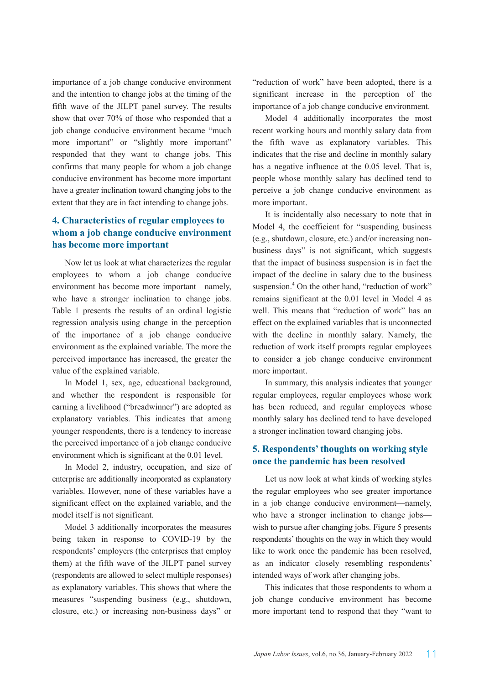importance of a job change conducive environment and the intention to change jobs at the timing of the fifth wave of the JILPT panel survey. The results show that over 70% of those who responded that a job change conducive environment became "much more important" or "slightly more important" responded that they want to change jobs. This confirms that many people for whom a job change conducive environment has become more important have a greater inclination toward changing jobs to the extent that they are in fact intending to change jobs.

# **4. Characteristics of regular employees to whom a job change conducive environment has become more important**

Now let us look at what characterizes the regular employees to whom a job change conducive environment has become more important—namely, who have a stronger inclination to change jobs. Table 1 presents the results of an ordinal logistic regression analysis using change in the perception of the importance of a job change conducive environment as the explained variable. The more the perceived importance has increased, the greater the value of the explained variable.

In Model 1, sex, age, educational background, and whether the respondent is responsible for earning a livelihood ("breadwinner") are adopted as explanatory variables. This indicates that among younger respondents, there is a tendency to increase the perceived importance of a job change conducive environment which is significant at the 0.01 level.

In Model 2, industry, occupation, and size of enterprise are additionally incorporated as explanatory variables. However, none of these variables have a significant effect on the explained variable, and the model itself is not significant.

Model 3 additionally incorporates the measures being taken in response to COVID-19 by the respondents' employers (the enterprises that employ them) at the fifth wave of the JILPT panel survey (respondents are allowed to select multiple responses) as explanatory variables. This shows that where the measures "suspending business (e.g., shutdown, closure, etc.) or increasing non-business days" or

"reduction of work" have been adopted, there is a significant increase in the perception of the importance of a job change conducive environment.

Model 4 additionally incorporates the most recent working hours and monthly salary data from the fifth wave as explanatory variables. This indicates that the rise and decline in monthly salary has a negative influence at the 0.05 level. That is, people whose monthly salary has declined tend to perceive a job change conducive environment as more important.

It is incidentally also necessary to note that in Model 4, the coefficient for "suspending business (e.g., shutdown, closure, etc.) and/or increasing nonbusiness days" is not significant, which suggests that the impact of business suspension is in fact the impact of the decline in salary due to the business suspension.<sup>4</sup> On the other hand, "reduction of work" remains significant at the 0.01 level in Model 4 as well. This means that "reduction of work" has an effect on the explained variables that is unconnected with the decline in monthly salary. Namely, the reduction of work itself prompts regular employees to consider a job change conducive environment more important.

In summary, this analysis indicates that younger regular employees, regular employees whose work has been reduced, and regular employees whose monthly salary has declined tend to have developed a stronger inclination toward changing jobs.

## **5. Respondents' thoughts on working style once the pandemic has been resolved**

Let us now look at what kinds of working styles the regular employees who see greater importance in a job change conducive environment—namely, who have a stronger inclination to change jobs wish to pursue after changing jobs. Figure 5 presents respondents' thoughts on the way in which they would like to work once the pandemic has been resolved, as an indicator closely resembling respondents' intended ways of work after changing jobs.

This indicates that those respondents to whom a job change conducive environment has become more important tend to respond that they "want to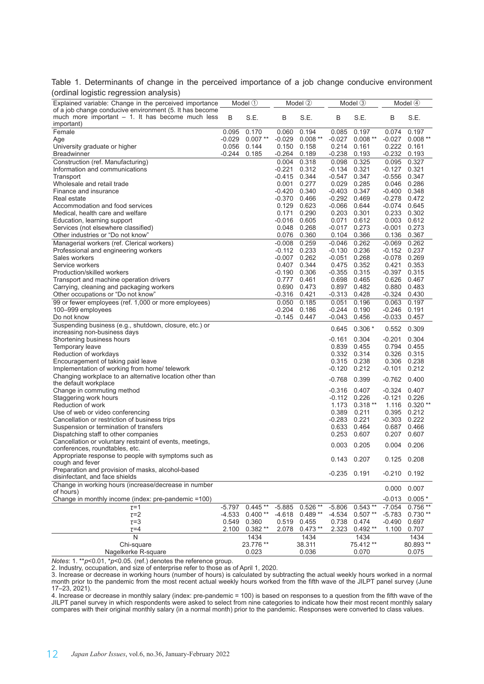Table 1. Determinants of change in the perceived importance of a job change conducive environment (ordinal logistic regression analysis)

| orunlar logistic regression analysis)                                                                                       |             |           |          |           |                  |                  |                  |           |  |
|-----------------------------------------------------------------------------------------------------------------------------|-------------|-----------|----------|-----------|------------------|------------------|------------------|-----------|--|
| Explained variable: Change in the perceived importance                                                                      | Model $(1)$ |           | Model 2  |           | Model 3          |                  | Model $(4)$      |           |  |
| of a job change conducive environment (5. It has become<br>much more important $-1$ . It has become much less<br>important) | B           | S.E.      | B        | S.E.      | B                | S.E.             | B                | S.E.      |  |
| Female                                                                                                                      | 0.095       | 0.170     | 0.060    | 0.194     | 0.085            | 0.197            | 0.074            | 0.197     |  |
| Age                                                                                                                         | $-0.029$    | $0.007**$ | $-0.029$ | $0.008**$ | $-0.027$         | $0.008**$        | $-0.027$         | $0.008**$ |  |
| University graduate or higher                                                                                               | 0.056       | 0.144     | 0.150    | 0.158     | 0.214            | 0.161            | 0.222            | 0.161     |  |
| <b>Breadwinner</b>                                                                                                          | $-0.244$    | 0.185     | $-0.264$ | 0.189     | $-0.238$         | 0.193            | $-0.232$         | 0.193     |  |
| Construction (ref. Manufacturing)                                                                                           |             |           | 0.004    | 0.318     | 0.098            | 0.325            | 0.095            | 0.327     |  |
| Information and communications                                                                                              |             |           | $-0.221$ | 0.312     | -0.134           | 0.321            | -0.127           | 0.321     |  |
| Transport                                                                                                                   |             |           | $-0.415$ | 0.344     | $-0.547$         | 0.347            | $-0.556$         | 0.347     |  |
| Wholesale and retail trade                                                                                                  |             |           | 0.001    | 0.277     | 0.029            | 0.285            | 0.046            | 0.286     |  |
| Finance and insurance                                                                                                       |             |           | $-0.420$ | 0.340     | $-0.403$         | 0.347            | $-0.400$         | 0.348     |  |
| Real estate                                                                                                                 |             |           | -0.370   | 0.466     | $-0.292$ $0.469$ |                  | $-0.278$         | 0.472     |  |
| Accommodation and food services                                                                                             |             |           | 0.129    | 0.623     | $-0.066$         | 0.644            | $-0.074$         | 0.645     |  |
| Medical, health care and welfare                                                                                            |             |           | 0.171    | 0.290     |                  | 0.203 0.301      | 0.233            | 0.302     |  |
| Education, learning support                                                                                                 |             |           | $-0.016$ | 0.605     | 0.071            | 0.612            | 0.003            | 0.612     |  |
| Services (not elsewhere classified)                                                                                         |             |           | 0.048    | 0.268     | $-0.017$ 0.273   |                  | $-0.001$         | 0.273     |  |
| Other industries or "Do not know"                                                                                           |             |           | 0.076    | 0.360     |                  | 0.104 0.366      | 0.136            | 0.367     |  |
| Managerial workers (ref. Clerical workers)                                                                                  |             |           | $-0.008$ | 0.259     | $-0.046$         | 0.262            | $-0.069$         | 0.262     |  |
| Professional and engineering workers                                                                                        |             |           | -0.112   | 0.233     | -0.130           | 0.236            | $-0.152$         | 0.237     |  |
| Sales workers                                                                                                               |             |           | $-0.007$ | 0.262     | $-0.051$         | 0.268            | $-0.078$         | 0.269     |  |
| Service workers                                                                                                             |             |           | 0.407    | 0.344     |                  | 0.475 0.352      | 0.421            | 0.353     |  |
| Production/skilled workers                                                                                                  |             |           | -0.190   | 0.306     | $-0.355$ $0.315$ |                  | $-0.397$         | 0.315     |  |
| Transport and machine operation drivers                                                                                     |             |           | 0.777    | 0.461     |                  | 0.698 0.465      | 0.626            | 0.467     |  |
| Carrying, cleaning and packaging workers                                                                                    |             |           | 0.690    | 0.473     | 0.897            | 0.482            | 0.880            | 0.483     |  |
| Other occupations or "Do not know"                                                                                          |             |           | -0.316   | 0.421     | $-0.313$ $0.428$ |                  | $-0.324$         | 0.430     |  |
| 99 or fewer employees (ref. 1,000 or more employees)                                                                        |             |           | 0.050    | 0.185     | 0.051            | 0.196            | 0.063            | 0.197     |  |
| 100-999 employees                                                                                                           |             |           | $-0.204$ | 0.186     | $-0.244$         | 0.190            | $-0.246$         | 0.191     |  |
| Do not know                                                                                                                 |             |           | $-0.145$ | 0.447     | $-0.043$         | 0.456            | $-0.033$         | 0.457     |  |
| Suspending business (e.g., shutdown, closure, etc.) or<br>increasing non-business days                                      |             |           |          |           | 0.645            | $0.306*$         | 0.552            | 0.309     |  |
| Shortening business hours                                                                                                   |             |           |          |           | -0.161           | 0.304            | $-0.201$         | 0.304     |  |
| Temporary leave                                                                                                             |             |           |          |           |                  | 0.839 0.455      | 0.794            | 0.455     |  |
| Reduction of workdays                                                                                                       |             |           |          |           |                  | 0.332 0.314      | 0.326            | 0.315     |  |
| Encouragement of taking paid leave                                                                                          |             |           |          |           | 0.315            | 0.238            | 0.306            | 0.238     |  |
| Implementation of working from home/ telework                                                                               |             |           |          |           | $-0.120$ $0.212$ |                  | $-0.101$         | 0.212     |  |
| Changing workplace to an alternative location other than                                                                    |             |           |          |           |                  |                  |                  |           |  |
| the default workplace                                                                                                       |             |           |          |           | $-0.768$         | 0.399            | $-0.762$         | 0.400     |  |
| Change in commuting method                                                                                                  |             |           |          |           | $-0.316$         | 0.407            | $-0.324$         | 0.407     |  |
| Staggering work hours                                                                                                       |             |           |          |           | $-0.112$ 0.226   |                  | $-0.121$         | 0.226     |  |
| Reduction of work                                                                                                           |             |           |          |           |                  | $1.173$ 0.318 ** | 1.116            | $0.320**$ |  |
| Use of web or video conferencing                                                                                            |             |           |          |           | 0.389            | 0.211            | 0.395            | 0.212     |  |
| Cancellation or restriction of business trips                                                                               |             |           |          |           | -0.283           | 0.221            | $-0.303$         | 0.222     |  |
| Suspension or termination of transfers                                                                                      |             |           |          |           | 0.633            | 0.464            | 0.687            | 0.466     |  |
| Dispatching staff to other companies                                                                                        |             |           |          |           | 0.253            | 0.607            | 0.207            | 0.607     |  |
| Cancellation or voluntary restraint of events, meetings,<br>conferences, roundtables, etc.                                  |             |           |          |           | 0.003            | 0.205            | 0.004            | 0.206     |  |
| Appropriate response to people with symptoms such as<br>cough and fever                                                     |             |           |          |           |                  | 0.143 0.207      | 0.125 0.208      |           |  |
| Preparation and provision of masks, alcohol-based<br>disinfectant, and face shields                                         |             |           |          |           | $-0.235$ 0.191   |                  | $-0.210$ $0.192$ |           |  |
| Change in working hours (increase/decrease in number<br>of hours)                                                           |             |           |          |           |                  |                  | 0.000            | 0.007     |  |
| Change in monthly income (index: pre-pandemic =100)                                                                         |             |           |          |           |                  |                  | $-0.013$         | $0.005*$  |  |
| $\tau = 1$                                                                                                                  | $-5.797$    | $0.445**$ | $-5.885$ | $0.526**$ | $-5.806$         | $0.543**$        | $-7.054$         | $0.756**$ |  |
| $\tau = 2$                                                                                                                  | $-4.533$    | $0.400**$ | $-4.618$ | $0.489**$ | $-4.534$         | $0.507**$        | $-5.783$         | $0.730**$ |  |
| $\tau = 3$                                                                                                                  | 0.549       | 0.360     | 0.519    | 0.455     | 0.738            | 0.474            | $-0.490$         | 0.697     |  |
| $\tau = 4$                                                                                                                  | 2.100       | $0.382**$ | 2.078    | $0.473**$ | 2.323            | $0.492**$        | 1.100            | 0.707     |  |
| $\mathsf{N}$                                                                                                                |             | 1434      |          | 1434      |                  | 1434             |                  | 1434      |  |
| Chi-square                                                                                                                  |             | 23.776 ** |          | 38.311    |                  | 75.412 **        |                  | 80.893 ** |  |
| Nagelkerke R-square                                                                                                         |             | 0.023     |          | 0.036     |                  | 0.070            |                  | 0.075     |  |

*Notes*: 1. \*\**p*<0.01, \**p*<0.05. (ref.) denotes the reference group.

2. Industry, occupation, and size of enterprise refer to those as of April 1, 2020.

3. Increase or decrease in working hours (number of hours) is calculated by subtracting the actual weekly hours worked in a normal month prior to the pandemic from the most recent actual weekly hours worked from the fifth wave of the JILPT panel survey (June 17–23, 2021).

4. Increase or decrease in monthly salary (index: pre-pandemic = 100) is based on responses to a question from the fifth wave of the JILPT panel survey in which respondents were asked to select from nine categories to indicate how their most recent monthly salary compares with their original monthly salary (in a normal month) prior to the pandemic. Responses were converted to class values.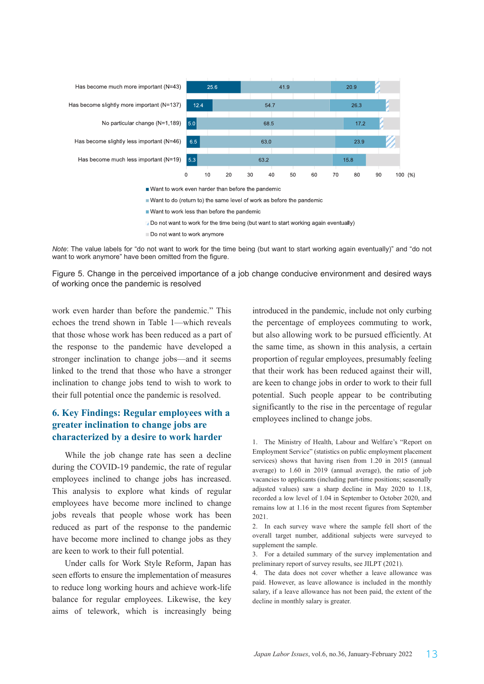

Do not want to work for the time being (but want to start working again eventually)

Do not want to work anymore

*Note*: The value labels for "do not want to work for the time being (but want to start working again eventually)" and "do not want to work anymore" have been omitted from the figure.

Figure 5. Change in the perceived importance of a job change conducive environment and desired ways of working once the pandemic is resolved

work even harder than before the pandemic." This echoes the trend shown in Table 1—which reveals that those whose work has been reduced as a part of the response to the pandemic have developed a stronger inclination to change jobs—and it seems linked to the trend that those who have a stronger inclination to change jobs tend to wish to work to their full potential once the pandemic is resolved.

# **6. Key Findings: Regular employees with a greater inclination to change jobs are characterized by a desire to work harder**

While the job change rate has seen a decline during the COVID-19 pandemic, the rate of regular employees inclined to change jobs has increased. This analysis to explore what kinds of regular employees have become more inclined to change jobs reveals that people whose work has been reduced as part of the response to the pandemic have become more inclined to change jobs as they are keen to work to their full potential.

Under calls for Work Style Reform, Japan has seen efforts to ensure the implementation of measures to reduce long working hours and achieve work-life balance for regular employees. Likewise, the key aims of telework, which is increasingly being

introduced in the pandemic, include not only curbing the percentage of employees commuting to work, but also allowing work to be pursued efficiently. At the same time, as shown in this analysis, a certain proportion of regular employees, presumably feeling that their work has been reduced against their will, are keen to change jobs in order to work to their full potential. Such people appear to be contributing significantly to the rise in the percentage of regular employees inclined to change jobs.

1. The Ministry of Health, Labour and Welfare's "Report on Employment Service" (statistics on public employment placement services) shows that having risen from 1.20 in 2015 (annual average) to 1.60 in 2019 (annual average), the ratio of job vacancies to applicants (including part-time positions; seasonally adjusted values) saw a sharp decline in May 2020 to 1.18, recorded a low level of 1.04 in September to October 2020, and remains low at 1.16 in the most recent figures from September 2021.

2. In each survey wave where the sample fell short of the overall target number, additional subjects were surveyed to supplement the sample.

3. For a detailed summary of the survey implementation and preliminary report of survey results, see JILPT (2021).

4. The data does not cover whether a leave allowance was paid. However, as leave allowance is included in the monthly salary, if a leave allowance has not been paid, the extent of the decline in monthly salary is greater.